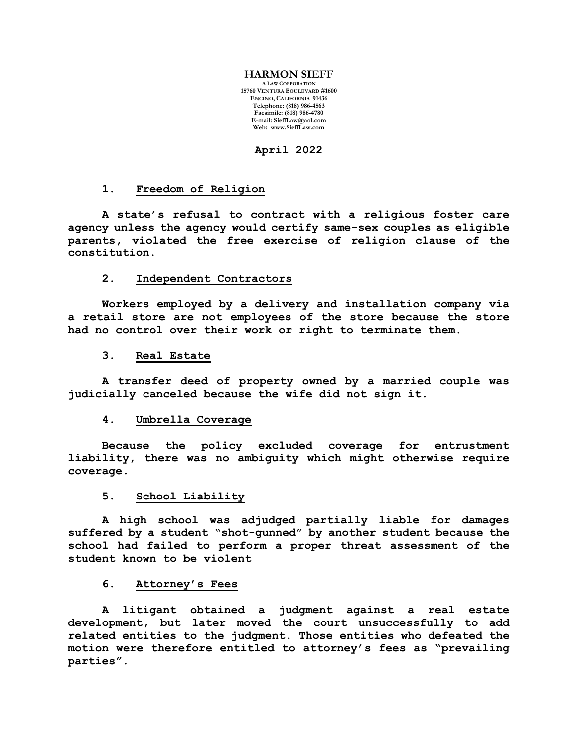#### **HARMON SIEFF**

**A LAW CORPORATION 15760 VENTURA BOULEVARD #1600 ENCINO, CALIFORNIA 91436 Telephone: (818) 986-4563 Facsimile: (818) 986-4780 E-mail[: SieffLaw@aol.com](mailto:SieffLaw@aol.com) Web: [www.SieffLaw.com](http://www.siefflaw.com/)**

**April 2022**

### **1. Freedom of Religion**

**A state's refusal to contract with a religious foster care agency unless the agency would certify same-sex couples as eligible parents, violated the free exercise of religion clause of the constitution.**

# **2. Independent Contractors**

**Workers employed by a delivery and installation company via a retail store are not employees of the store because the store had no control over their work or right to terminate them.**

## **3. Real Estate**

**A transfer deed of property owned by a married couple was judicially canceled because the wife did not sign it.**

# **4. Umbrella Coverage**

**Because the policy excluded coverage for entrustment liability, there was no ambiguity which might otherwise require coverage.**

# **5. School Liability**

**A high school was adjudged partially liable for damages suffered by a student "shot-gunned" by another student because the school had failed to perform a proper threat assessment of the student known to be violent**

#### **6. Attorney's Fees**

**A litigant obtained a judgment against a real estate development, but later moved the court unsuccessfully to add related entities to the judgment. Those entities who defeated the motion were therefore entitled to attorney's fees as "prevailing parties".**